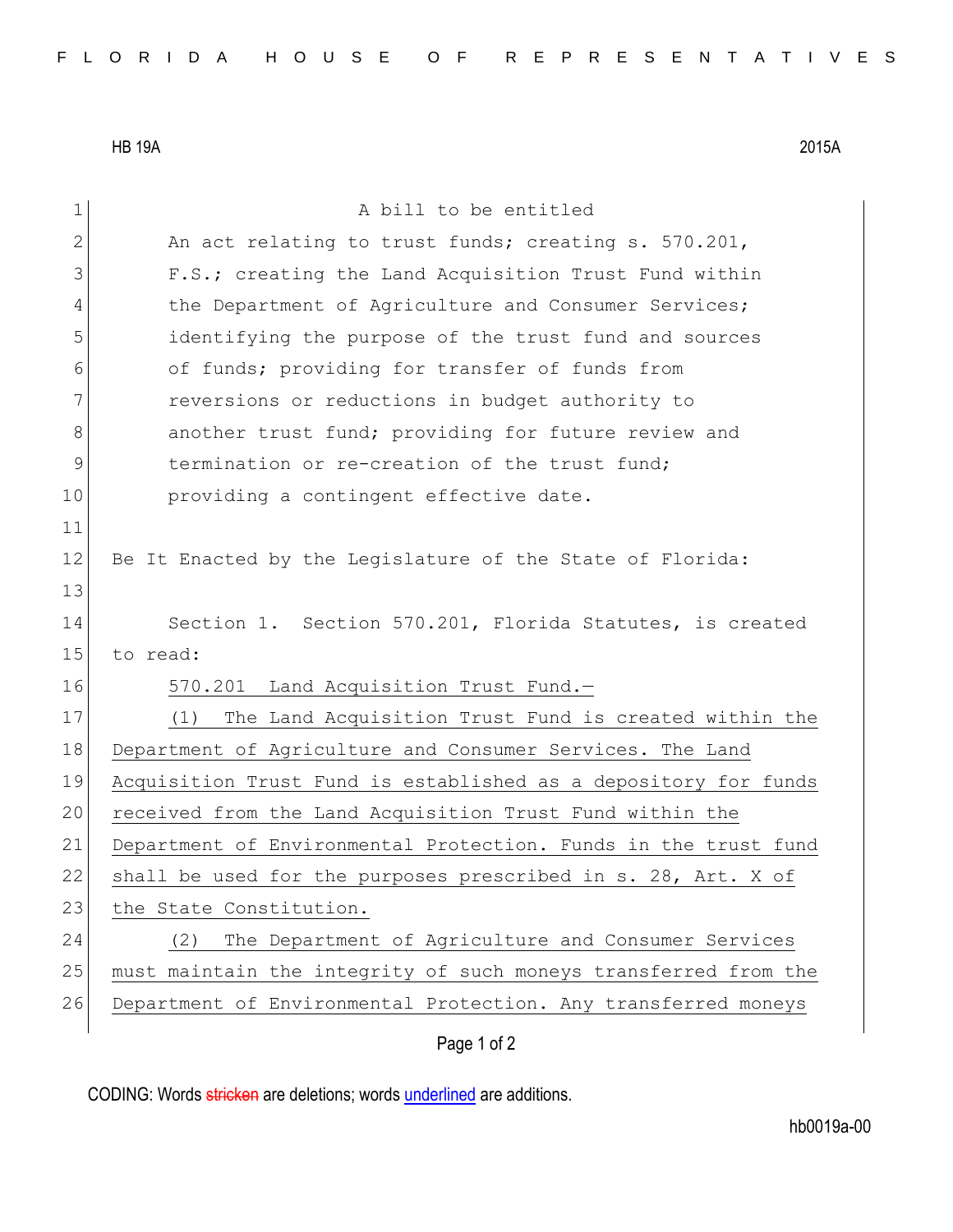HB 19A 2015A

| 1            | A bill to be entitled                                           |
|--------------|-----------------------------------------------------------------|
| $\mathbf{2}$ | An act relating to trust funds; creating s. 570.201,            |
| 3            | F.S.; creating the Land Acquisition Trust Fund within           |
| 4            | the Department of Agriculture and Consumer Services;            |
| 5            | identifying the purpose of the trust fund and sources           |
| 6            | of funds; providing for transfer of funds from                  |
| 7            | reversions or reductions in budget authority to                 |
| 8            | another trust fund; providing for future review and             |
| 9            | termination or re-creation of the trust fund;                   |
| 10           | providing a contingent effective date.                          |
| 11           |                                                                 |
| 12           | Be It Enacted by the Legislature of the State of Florida:       |
| 13           |                                                                 |
| 14           | Section 1. Section 570.201, Florida Statutes, is created        |
| 15           | to read:                                                        |
| 16           | 570.201 Land Acquisition Trust Fund.-                           |
| 17           | The Land Acquisition Trust Fund is created within the<br>(1)    |
| 18           | Department of Agriculture and Consumer Services. The Land       |
| 19           | Acquisition Trust Fund is established as a depository for funds |
| 20           | received from the Land Acquisition Trust Fund within the        |
| 21           | Department of Environmental Protection. Funds in the trust fund |
| 22           | shall be used for the purposes prescribed in s. 28, Art. X of   |
| 23           | the State Constitution.                                         |
| 24           | The Department of Agriculture and Consumer Services<br>(2)      |
| 25           | must maintain the integrity of such moneys transferred from the |
| 26           | Department of Environmental Protection. Any transferred moneys  |
|              | Page 1 of 2                                                     |

CODING: Words stricken are deletions; words underlined are additions.